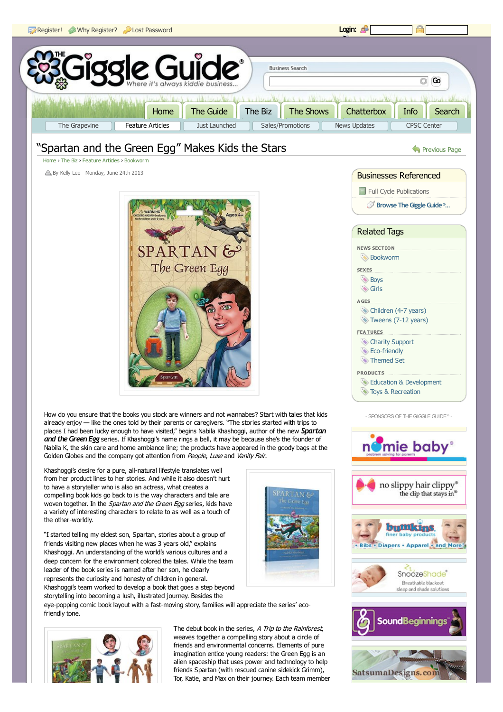